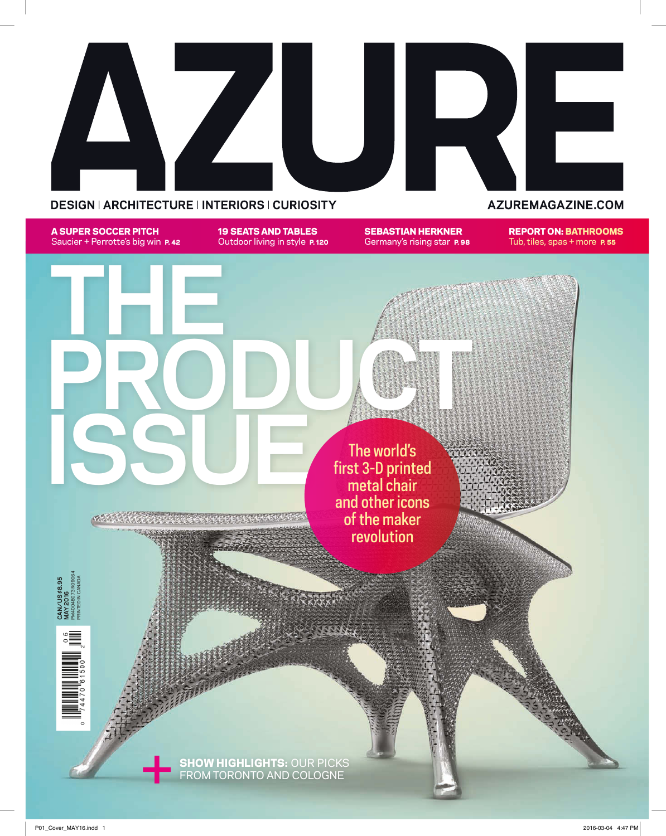

A SUPER SOCCER PITCH Saucier + Perrotte's big win **P. 42**  19 SEATS AND TABLES Outdoor living in style **P. 120**  SEBASTIAN HERKNER Germany's rising star **P. 98**  REPORT ON: BATHROOMS Tub, tiles, spas + more P. 55